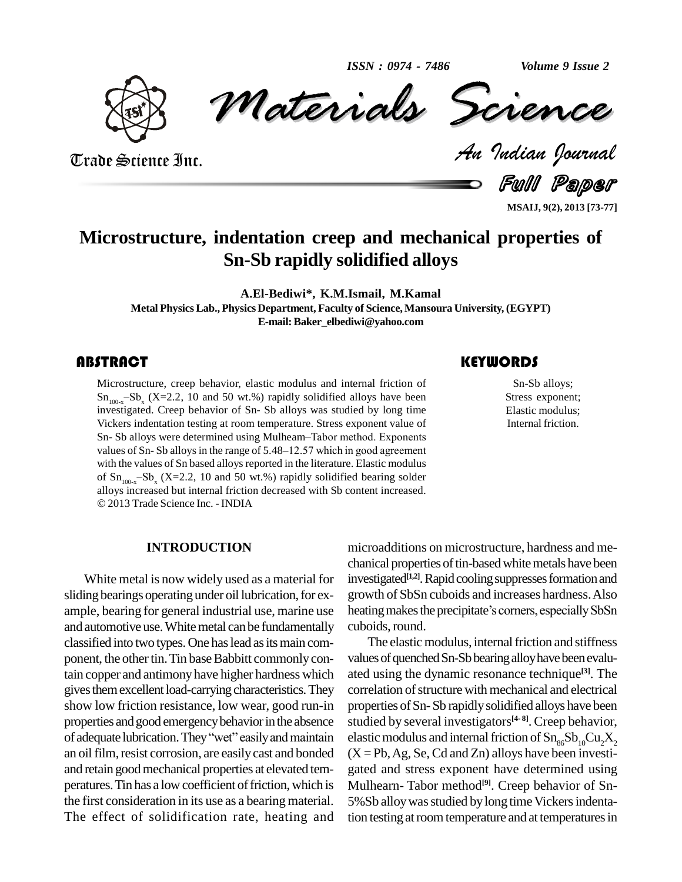*ISSN : 0974 - 7486*

*Volume 9 Issue 2*



*Materials Science Volume 9 Issue 2*<br> *Indian Pournal* ISSN: 0974 - 7486 Volume 9 Issue 2<br>Materials Scrence

Trade Science Inc.

Full Paper

**MSAIJ, 9(2), 2013 [73-77]**

## **Microstructure, indentation creep and mechanical properties of Sn-Sb rapidly solidified alloys**

**A.El-Bediwi\*, K.M.Ismail, M.Kamal**

**Metal PhysicsLab., Physics Department, Faculty of Science,Mansoura University, (EGYPT) E-mail:[Baker\\_elbediwi@yahoo.com](mailto:Baker_elbediwi@yahoo.com)**

Microstructure, creep behavior, elastic modulus and internal friction of  $\text{Sn-Sb}$  alloys;  $\text{Sn}_{100-x}-\text{Sb}_x$  (X=2.2, 10 and 50 wt.%) rapidly solidified alloys have been investigated. Creep behavior of Sn-Sb alloys was s Microstructure, creep behavior, elastic modulus and internal friction of investigated. Creep behavior of Sn- Sb alloys was studied by long time<br>Vickers indentation testing at room temperature. Stress exponent value of<br>Sn- Sb alloys were determined using Mulheam–Tabor method. Exponents Vickers indentation testing at room temperature. Stress exponent value of Sn- Sb alloys were determined using Mulheam–Tabor method. Exponents values of Sn- Sb alloys in the range of 5.48–12.57 which in good agreement with the values of Sn based alloys reported in the literature. Elastic modulus values of Sn-Sb alloys in the range of 5.48–12.57 which in good agreement<br>with the values of Sn based alloys reported in the literature. Elastic modulus<br>of  $Sn_{100-x} - Sb_x (X=2.2, 10 \text{ and } 50 \text{ wt.%)$  rapidly solidified bearing of  $Sn_{100-x} - Sb_x$  (X=2.2, 10 and 50 wt.%) rapidly solidified bearing solder alloys increased but internal friction decreased with Sb content increased. 2013Trade Science Inc. - INDIA

Sn-Sb alloys; Stress exponent; Elastic modulus; Internal friction.

### **INTRODUCTION**

White metal is now widely used as a material for sliding bearings operating under oil lubrication, for example, bearing for general industrial use, marine use heating makes the precipitate's corners, especially SbSn and automotive use. White metal can be fundamentally classified into two types. One has lead as its main component, the other tin. Tin base Babbitt commonly contain copper and antimonyhave higher hardness which gives them excellent load-carrying characteristics. They show low friction resistance, low wear, good run-in propert<br>properties and good emergency behavior in the absence studies<br>of adequate lubrication. They "wet" easily and maintain elastic properties and good emergency behavior in the absence an oil film, resist corrosion, are easily cast and bonded and retain good mechanical properties at elevated temperatures. Tin has a low coefficient of friction, which is the first consideration in its use as a bearing material. The effect of solidification rate, heating and

microadditions on microstructure, hardness and me chanical properties of tin-based white metals have been investigated<sup>[1,2]</sup>. Rapid cooling suppresses formation and growth of SbSn cuboids and increases hardness.Also investigated<sup>[1,2]</sup>. Rapid cooling suppresses formation and<br>growth of SbSn cuboids and increases hardness. Also<br>heating makes the precipitate's corners, especially SbSn cuboids,round.

The elastic modulus, internal friction and stiffness values of quenched Sn-Sb bearing alloy have been evaluated using the dynamic resonance technique **[3]**. The correlation of structure with mechanical and electrical properties of Sn-Sb rapidly solidified alloys have been studied by several investigators **[4- 8]**. Creep behavior, elastic modulus and internal friction of  $Sn_{\alpha 6}Sb_{10}Cu_2X_2$  $(X = Pb, Ag, Se, Cd and Zn)$  alloys have been investigated and stress exponent have determined using Mulhearn- Tabor method **[9]**. Creep behavior of Sn- 5%Sb alloy was studied by long time Vickers indentation testing at room temperature and at temperatures in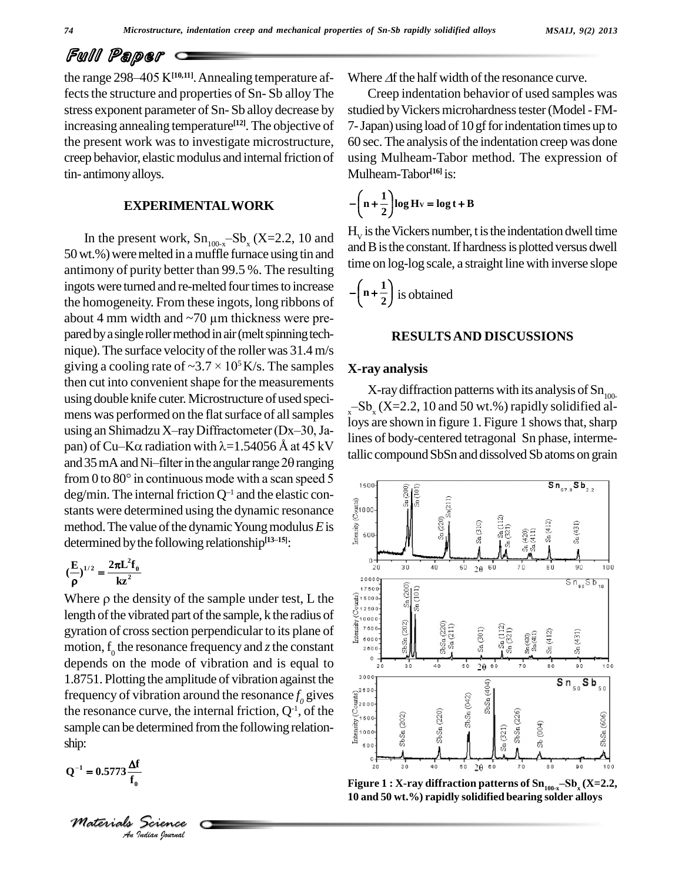## Full Paper

the range  $298-405$  K<sup>[10,11]</sup>. Annealing temperature affects the structure and properties of Sn-Sb alloy The stress exponent parameter of Sn- Sb alloy decrease by increasing annealing temperature **[12]**. The objective of the present work was to investigate microstructure, creep behavior, elastic modulus and internal friction of tin- antimonyalloys.

#### **EXPERIMENTALWORK**

In the present work,  $Sn_{100-x} - Sb_x$  (X=2.2, 10 and 50wt.%)weremelted in amuffle furnace using tin and antimony of purity better than 99.5 %. The resulting ingots were turned and re-melted four times to increase the homogeneity. From these ingots, long ribbons of about 4 mm width and  $\sim$ 70 µm thickness were prethe homogeneity. From these ingots, long ribbons of pared by a single roller method in air (melt spinning tech-<br>nique). The surface velocity of the roller was 31.4 m/s<br>giving a cooling rate of  $\sim 3.7 \times 10^5$  K/s. The samples **X-r** nique). The surface velocity of the roller was  $31.4 \text{ m/s}$ giving a cooling rate of  $\sim 3.7 \times 10^5$  K/s. The samples then cut into convenient shape for the measurements using double knife cuter. Microstructure of used speci-<br> $-Sb_x(X=2.2, 10 \text{ and } 50 \text{ wt.})$  rapidly solidified al-<br> mens was performed on the flat surface of all samples using double knife cuter. Microstructure of used speci-<br>mens was performed on the flat surface of all samples<br>using an Shimadzu X-ray Diffractometer (Dx-30, Jamens was performed on the flat surface of all samples<br>using an Shimadzu X-ray Diffractometer (Dx-30, Ja-<br>pan) of Cu–K $\alpha$  radiation with  $\lambda$ =1.54056 Å at 45 kV using an Shimadzu X-ray Diffractometer (Dx-30, Ja-<br>pan) of Cu-K $\alpha$  radiation with  $\lambda$ =1.54056 Å at 45 kV<br>and 35 mA and Ni-filter in the angular range 20 ranging pan) of Cu-K $\alpha$  radiation with  $\lambda$ =1.54056 Å at 45 kV tallic<br>and 35 mA and Ni-filter in the angular range 20 ranging from 0 to 80° in continuous mode with a scan speed 5 from 0 to 80° in continuous mode with a scan speed 5 deg/min. The internal friction  $Q^{-1}$  and the elastic constants were determined using the dynamic resonance method. The value of the dynamic Young modulus E is determin stants were determined using the dynamic resonance method. The value of the dynamic Young modulus *E* is determined by the following relationship<sup>[13-15]</sup>: determined by the following relationship<sup>[13-15]</sup>:<br>  $(\frac{E}{r})^{1/2} = \frac{2\pi L^2 f_0}{r^2}$ 

$$
(\frac{E}{\rho})^{1/2} = \frac{2\pi L^2 f_0}{kz^2}
$$

 $(\frac{E}{\rho})^{1/2} = \frac{2\pi L^2 f_0}{kz^2}$ <br>
Where  $\rho$  the density of the sample under test, L the<br>
length of the vibrated part of the sample, k the radius of<br>
gyration of cross section perpendicular to its plane of length of the vibrated part of the sample, k the radius of gyration of cross section perpendicular to its plane of motion,  $f_0$  the resonance frequency and *z* the constant depends on the mode of vibration and is equal to 1.8751. Plotting the amplitude of vibration against the<br>frequency of vibration around the resonance  $f_0$  gives<br>the resonance curve, the internal friction,  $Q^1$ , of the<br>sample can be determined from the following relatio frequency of vibration around the resonance  $f_0$  gives the resonance curve, the internal friction,  $Q^{-1}$ , of the  $\mathcal{C}^{\text{max}}_{\text{mean}}$ sample can be determined from the following relationship: ship:<br>Q<sup>-1</sup> = 0.5773 $\frac{\Delta f}{f}$ f,

$$
Q^{-1} = 0.5773 \frac{\Delta f}{f_0}
$$

**f**<br>|-<br>| Tectence<br>| <sub>Indian</sub> Iournal *Materials Science* Where  $\Delta f$  the half width of the resonance curve.

Creep indentation behavior of used samples was studied by Vickers microhardness tester (Model - FM-7-Japan) using load of 10 gfforindentation timesup to 60 sec. The analysis of the indentation creep was done using Mulheam-Tabor method. The expression of Mulheam-Tabor<sup>[16]</sup> is:<br> $-{\binom{n+\frac{1}{2}}{\log Hv}} = \log t + B$ 

$$
-\left(n+\frac{1}{2}\right)\log H_{\rm V}=\log t+B
$$

 $H_v$  is the Vickers number, t is the indentation dwell time and B is the constant. If hardness is plotted versus dwell time on log-log scale, a straight line with inverse slope<br> $-\left(n+\frac{1}{n}\right)$  is obtained

$$
-\left(n+\frac{1}{2}\right)
$$
 is obtained

#### **RESULTSAND DISCUSSIONS**

#### **X-ray analysis**

X-ray diffraction patterns with its analysis of  $\mathrm{Sn}_{100-}$ **x-ray analysis**<br>X-ray diffraction patterns with its analysis of  $\text{Sn}_{100}$ <br> $\text{Sb}_x(\text{X=2.2, 10 and 50 wt.%) rapidly solidified al$ loys are shown in figure 1. Figure 1 shows that, sharp lines of body-centered tetragonal Sn phase, intermetallic compound SbSn and dissolved Sb atoms on grain

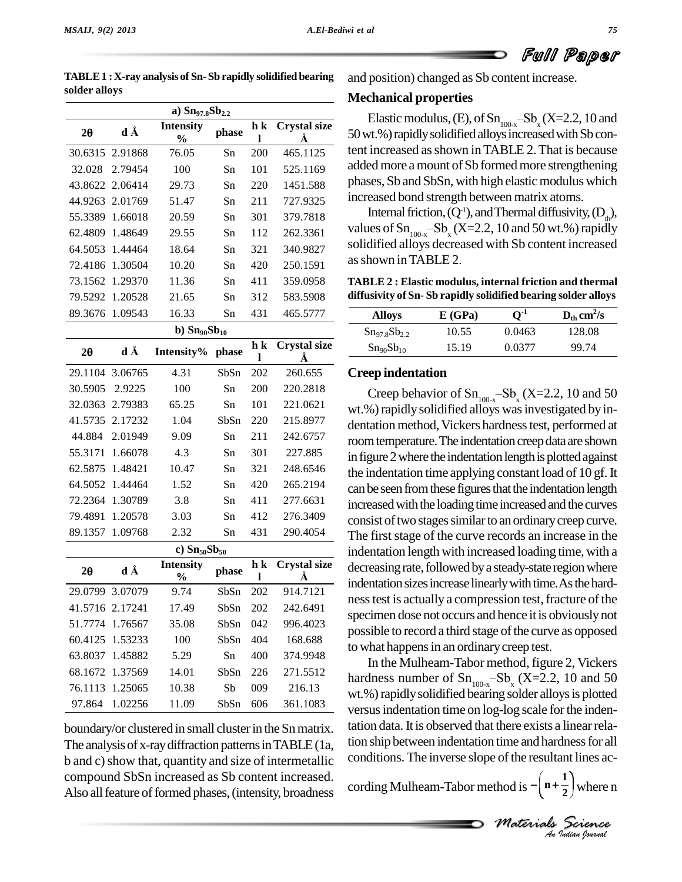**solder alloys**



Full Paper

| a) $Sn_{97.8}Sb_{2.2}$ |                 |                                   |       |                     |                          |  |
|------------------------|-----------------|-----------------------------------|-------|---------------------|--------------------------|--|
| $2\theta$              | d Å             | <b>Intensity</b><br>$\frac{0}{0}$ | phase | h k<br>l            | <b>Crystal size</b><br>Å |  |
| 30.6315                | 2.91868         | 76.05                             | Sn    | 200                 | 465.1125                 |  |
| 32.028                 | 2.79454         | 100                               | Sn    | 101                 | 525.1169                 |  |
| 43.8622                | 2.06414         | 29.73                             | Sn    | 220                 | 1451.588                 |  |
| 44.9263                | 2.01769         | 51.47                             | Sn    | 211                 | 727.9325                 |  |
| 55.3389                | 1.66018         | 20.59                             | Sn    | 301                 | 379.7818                 |  |
| 62.4809                | 1.48649         | 29.55                             | Sn    | 112                 | 262.3361                 |  |
| 64.5053                | 1.44464         | 18.64                             | Sn    | 321                 | 340.9827                 |  |
| 72.4186                | 1.30504         | 10.20                             | Sn    | 420                 | 250.1591                 |  |
| 73.1562                | 1.29370         | 11.36                             | Sn    | 411                 | 359.0958                 |  |
| 79.5292                | 1.20528         | 21.65                             | Sn    | 312                 | 583.5908                 |  |
| 89.3676                | 1.09543         | 16.33                             | Sn    | 431                 | 465.5777                 |  |
|                        |                 | b) $Sn_{90}Sb_{10}$               |       |                     |                          |  |
| $2\theta$              | d Å             | Intensity%                        | phase | h k<br>$\mathbf{l}$ | <b>Crystal size</b><br>Å |  |
| 29.1104                | 3.06765         | 4.31                              | SbSn  | 202                 | 260.655                  |  |
| 30.5905                | 2.9225          | 100                               | Sn    | 200                 | 220.2818                 |  |
| 32.0363                | 2.79383         | 65.25                             | Sn    | 101                 | 221.0621                 |  |
| 41.5735                | 2.17232         | 1.04                              | SbSn  | 220                 | 215.8977                 |  |
| 44.884                 | 2.01949         | 9.09                              | Sn    | 211                 | 242.6757                 |  |
| 55.3171                | 1.66078         | 4.3                               | Sn    | 301                 | 227.885                  |  |
| 62.5875                | 1.48421         | 10.47                             | Sn    | 321                 | 248.6546                 |  |
| 64.5052                | 1.44464         | 1.52                              | Sn    | 420                 | 265.2194                 |  |
| 72.2364                | 1.30789         | 3.8                               | Sn    | 411                 | 277.6631                 |  |
| 79.4891                | 1.20578         | 3.03                              | Sn    | 412                 | 276.3409                 |  |
| 89.1357                | 1.09768         | 2.32                              | Sn    | 431                 | 290.4054                 |  |
|                        |                 | c) $Sn_{50}Sb_{50}$               |       |                     |                          |  |
| 20                     | d Å             | <b>Intensity</b><br>$\frac{0}{0}$ | phase | h k<br>ı            | <b>Crystal size</b><br>Å |  |
| 29.0799                | 3.07079         | 9.74                              | SbSn  | 202                 | 914.7121                 |  |
|                        | 41.5716 2.17241 | 17.49                             | SbSn  | 202                 | 242.6491                 |  |
| 51.7774                | 1.76567         | 35.08                             | SbSn  | 042                 | 996.4023                 |  |
| 60.4125                | 1.53233         | 100                               | SbSn  | 404                 | 168.688                  |  |
| 63.8037                | 1.45882         | 5.29                              | Sn    | 400                 | 374.9948                 |  |
| 68.1672                | 1.37569         | 14.01                             | SbSn  | 226                 | 271.5512                 |  |
|                        | 76.1113 1.25065 | 10.38                             | Sb    | 009                 | 216.13                   |  |

**TABLE1 :X-ray analysis of Sn- Sb rapidly solidified bearing**

boundary/or clustered in small cluster in the Sn matrix. The analysis of x-ray diffraction patterns in TABLE (1a, b and c) show that, quantity and size of intermetallic compound SbSn increased as Sb content increased. Also all feature of formed phases, (intensity, broadness

97.864 1.02256 11.09 SbSn 606 361.1083

and position) changed as Sb content increase.

### **Mechanical properties**

Elastic modulus, (E), of  $Sn_{100-x} - Sb_x(X=2.2, 10$  and 50 wt.%) rapidly solidified alloys increased with Sb content increased asshown inTABLE 2.That is because added more a mount of Sb formed more strengthening phases, Sb and SbSn, with high elastic modulus which increased bond strength between matrix atoms.

Internal friction, (Q<sup>-1</sup>), and Thermal diffusivity, (D<sub>th</sub>), values of Sn<sub>100-x</sub><sup>-Sb</sup><sub>x</sub> (X=2.2, 10 and 50 wt.%) rapidly solidified alloys decreased with Sb content increased asshown inTABLE 2.

**TABLE 2 : Elastic modulus, internal friction and thermal diffusivity of Sn- Sb rapidly solidified bearing solder alloys**

| <b>Alloys</b>                     | E(GPa) | $\mathbf{O}$ ., | $D_{\text{th}}$ cm <sup>2</sup> /s |
|-----------------------------------|--------|-----------------|------------------------------------|
| $Sn_{97.8}Sb_{2.2}$               | 10.55  | 0.0463          | 128.08                             |
| Sn <sub>90</sub> Sb <sub>10</sub> | 15.19  | 0.0377          | 99.74                              |

### **Creep indentation**

**Crystal size** decreasingrate,followedbya steady-state regionwhere indentation sizes increase linearly with time. As the hard-Creep behavior of  $Sn_{100-x} - Sb_x (X=2.2, 10 \text{ and } 50$ wt.%) rapidly solidified alloys was investigated by indentation method, Vickers hardness test, performed at room temperature. The indentation creep data are shown in figure 2 where the indentation length is plotted against the indentation time applying constant load of 10 gf.It can be seen from these figures that the indentation length increased with the loading time increased and the curves consist of two stages similar to an ordinary creep curve. The first stage of the curve records an increase in the indentation length with increased loading time, with a ness test is actually a compression test, fracture of the specimen dose not occurs and hence it is obviously not possible to record a third stage of the curve as opposed to what happens in an ordinary creep test.

> *An*tion ship between indentation time and hardnessfor all dness for all<br>ant lines ac-<br> $\frac{1}{2}$  where n<br>*Science* In the Mulheam-Tabor method, figure 2, Vickers hardness number of  $Sn_{100-x} - Sb_x$  (X=2.2, 10 and 50 wt.%) rapidly solidified bearing solder alloys is plotted versus indentation time on log-log scale for the indentation data. It is observed that there exists a linear relaconditions. The inverse slope of the resultant lines ac-<br> $\begin{pmatrix} 1 \end{pmatrix}$ Ĵ J

> cording Mulheam-Tabor method is  $-|\mathbf{n}+\frac{1}{2}|$  where where tant lines 2<sup> $\mu$ wiicic</sup>  $\left(\frac{1}{2}\right)$  where n

*M Materials Science*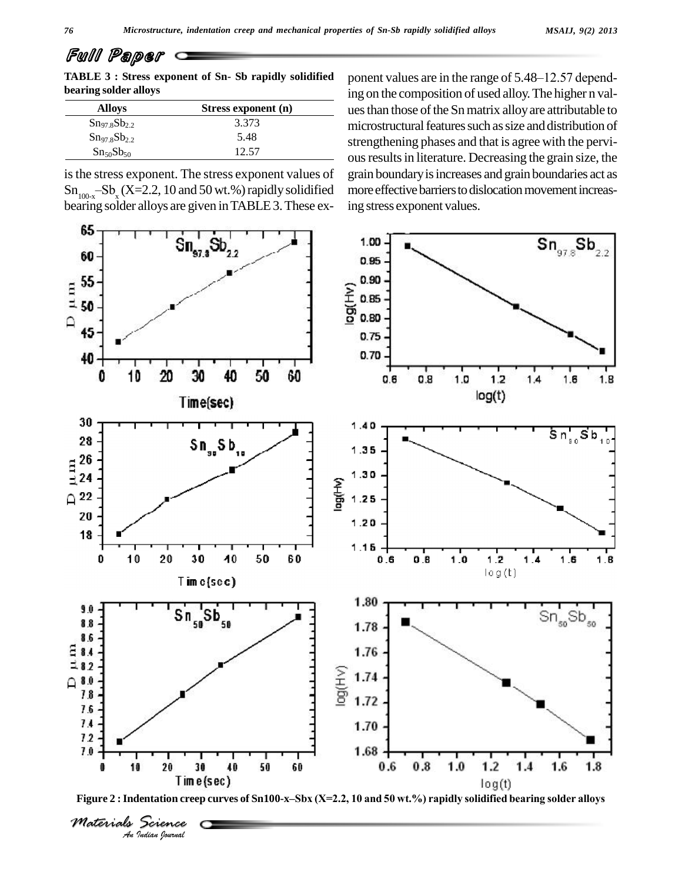| Full Paper                                            |                                                        |
|-------------------------------------------------------|--------------------------------------------------------|
| TABLE 3 : Stress exponent of Sn-Sb rapidly solidified | ponent values are in the range of $5.48-12.57$ depend- |
| bearing solder alloys                                 | ing on the composition of used allow The higher n val- |

| <b>Alloys</b>                      | Stress exponent (n) |
|------------------------------------|---------------------|
| $\text{Sn}_{97}$ $\text{sSb}_{22}$ | 3.373               |
| $Sn_{97.8}Sb_{2.2}$                | 5.48                |
| Sn <sub>50</sub> Sb <sub>50</sub>  | 12.57               |

is the stress exponent. The stress exponent values of  $Sn_{100-x} - Sb_x (X=2.2, 10 \text{ and } 50 \text{ wt. %})$  rapidly solidified bearing solder alloys are given inTABLE3.These exing on the composition of used alloy.The higher n val ues than those of the Sn matrix alloy are attributable to microstructural features such as size and distribution of strengthening phases and that is agree with the pervious results in literature. Decreasing the grain size, the grain boundaryisincreases and grain boundaries act as more effective barriers to dislocation movement increasing stress exponent values.



*Materials Science*